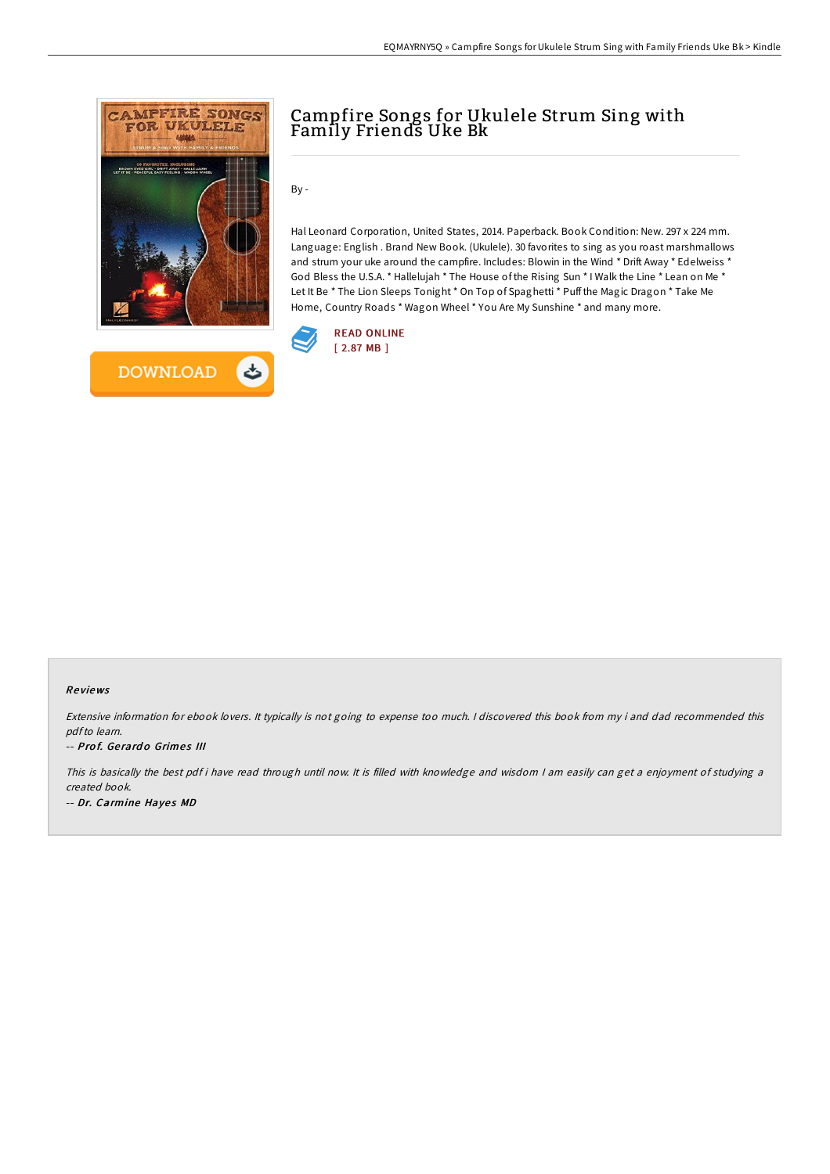



# Campfire Songs for Ukulele Strum Sing with Family Friends Uke Bk

By -

Hal Leonard Corporation, United States, 2014. Paperback. Book Condition: New. 297 x 224 mm. Language: English . Brand New Book. (Ukulele). 30 favorites to sing as you roast marshmallows and strum your uke around the campfire. Includes: Blowin in the Wind \* Drift Away \* Edelweiss \* God Bless the U.S.A. \* Hallelujah \* The House of the Rising Sun \* I Walk the Line \* Lean on Me \* Let It Be \* The Lion Sleeps Tonight \* On Top of Spaghetti \* Puff the Magic Dragon \* Take Me Home, Country Roads \* Wagon Wheel \* You Are My Sunshine \* and many more.



#### Re views

Extensive information for ebook lovers. It typically is not going to expense too much. <sup>I</sup> discovered this book from my i and dad recommended this pdfto learn.

#### -- Prof. Gerardo Grimes III

This is basically the best pdf i have read through until now. It is filled with knowledge and wisdom I am easily can get a enjoyment of studying a created book. -- Dr. Carmine Hayes MD